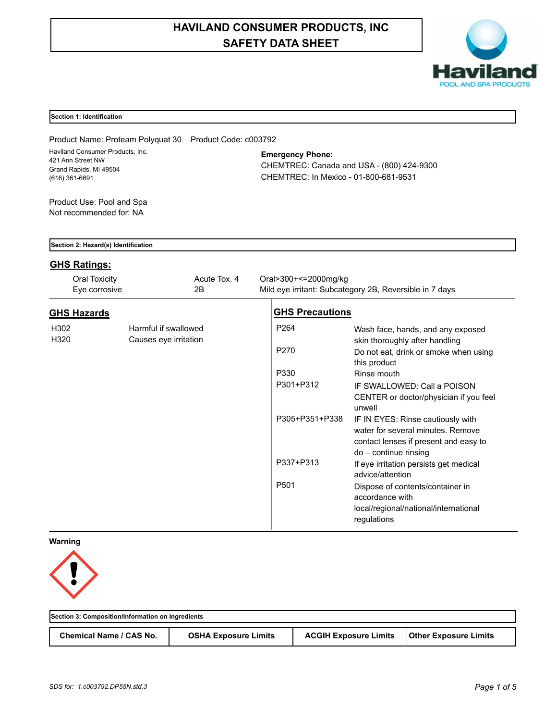# **HAVILAND CONSUMER PRODUCTS, INC SAFETY DATA SHEET**



## **Section 1: Identification**

Product Name: Proteam Polyquat 30 Product Code: c003792 Haviland Consumer Products, Inc. 421 Ann Street NW Grand Rapids, MI 49504 (616) 361-6691

## **Emergency Phone:**

CHEMTREC: Canada and USA - (800) 424-9300 CHEMTREC: In Mexico - 01-800-681-9531

Product Use: Pool and Spa Not recommended for: NA

|  |  | Section 2: Hazard(s) Identification |
|--|--|-------------------------------------|
|  |  |                                     |

## **GHS Ratings:**

| Oral Toxicity<br>Eye corrosive | Acute Tox. 4<br>2B                            | Oral>300+<=2000mg/kg<br>Mild eye irritant: Subcategory 2B, Reversible in 7 days |                                                                                                                 |
|--------------------------------|-----------------------------------------------|---------------------------------------------------------------------------------|-----------------------------------------------------------------------------------------------------------------|
| <b>GHS Hazards</b>             |                                               | <b>GHS Precautions</b>                                                          |                                                                                                                 |
| H302<br>H320                   | Harmful if swallowed<br>Causes eye irritation | P <sub>264</sub>                                                                | Wash face, hands, and any exposed<br>skin thoroughly after handling                                             |
|                                |                                               | P270<br>this product                                                            | Do not eat, drink or smoke when using                                                                           |
|                                |                                               | P330<br>Rinse mouth                                                             |                                                                                                                 |
|                                |                                               | P301+P312<br>unwell                                                             | IF SWALLOWED: Call a POISON<br>CENTER or doctor/physician if you feel                                           |
|                                |                                               | P305+P351+P338<br>$do$ – continue rinsing                                       | IF IN EYES: Rinse cautiously with<br>water for several minutes. Remove<br>contact lenses if present and easy to |
|                                |                                               | P337+P313<br>advice/attention                                                   | If eye irritation persists get medical                                                                          |
|                                |                                               | P501<br>accordance with<br>regulations                                          | Dispose of contents/container in<br>local/regional/national/international                                       |

## **Warning**



| Section 3: Composition/Information on Ingredients |                             |                              |                              |  |  |
|---------------------------------------------------|-----------------------------|------------------------------|------------------------------|--|--|
| Chemical Name / CAS No.                           | <b>OSHA Exposure Limits</b> | <b>ACGIH Exposure Limits</b> | <b>Other Exposure Limits</b> |  |  |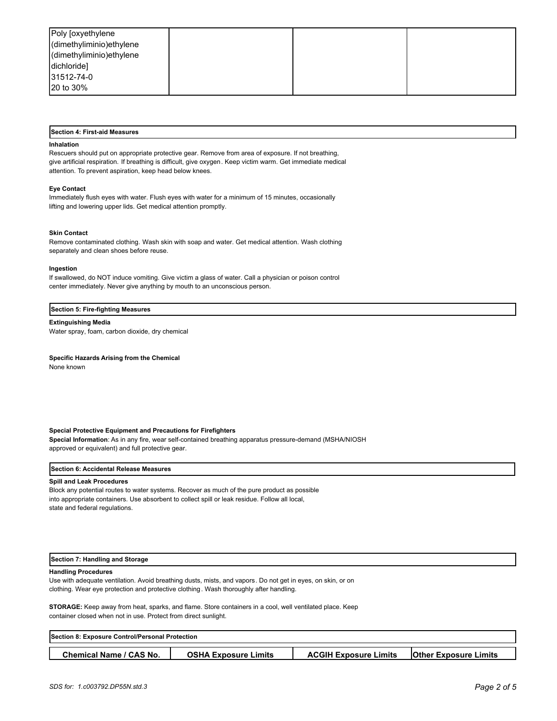| Poly [oxyethylene        |  |  |
|--------------------------|--|--|
| dimethyliminio) ethylene |  |  |
| dimethyliminio) ethylene |  |  |
| dichloride]              |  |  |
| 31512-74-0               |  |  |
| 20 to 30%                |  |  |

#### **Section 4: First-aid Measures**

#### **Inhalation**

Rescuers should put on appropriate protective gear. Remove from area of exposure. If not breathing, give artificial respiration. If breathing is difficult, give oxygen. Keep victim warm. Get immediate medical attention. To prevent aspiration, keep head below knees.

#### **Eye Contact**

Immediately flush eyes with water. Flush eyes with water for a minimum of 15 minutes, occasionally lifting and lowering upper lids. Get medical attention promptly.

#### **Skin Contact**

Remove contaminated clothing. Wash skin with soap and water. Get medical attention. Wash clothing separately and clean shoes before reuse.

#### **Ingestion**

If swallowed, do NOT induce vomiting. Give victim a glass of water. Call a physician or poison control center immediately. Never give anything by mouth to an unconscious person.

#### **Section 5: Fire-fighting Measures**

**Extinguishing Media** Water spray, foam, carbon dioxide, dry chemical

#### **Specific Hazards Arising from the Chemical**

None known

#### **Special Protective Equipment and Precautions for Firefighters**

**Special Information**: As in any fire, wear self-contained breathing apparatus pressure-demand (MSHA/NIOSH approved or equivalent) and full protective gear.

#### **Section 6: Accidental Release Measures**

#### **Spill and Leak Procedures**

Block any potential routes to water systems. Recover as much of the pure product as possible into appropriate containers. Use absorbent to collect spill or leak residue. Follow all local, state and federal regulations.

#### **Section 7: Handling and Storage**

#### **Handling Procedures**

Use with adequate ventilation. Avoid breathing dusts, mists, and vapors. Do not get in eyes, on skin, or on clothing. Wear eye protection and protective clothing. Wash thoroughly after handling.

**STORAGE:** Keep away from heat, sparks, and flame. Store containers in a cool, well ventilated place. Keep container closed when not in use. Protect from direct sunlight.

| <b>Section 8: Exposure Control/Personal Protection</b> |                             |                              |                              |  |  |
|--------------------------------------------------------|-----------------------------|------------------------------|------------------------------|--|--|
|                                                        |                             |                              |                              |  |  |
| <b>Chemical Name / CAS No.</b>                         | <b>OSHA Exposure Limits</b> | <b>ACGIH Exposure Limits</b> | <b>Other Exposure Limits</b> |  |  |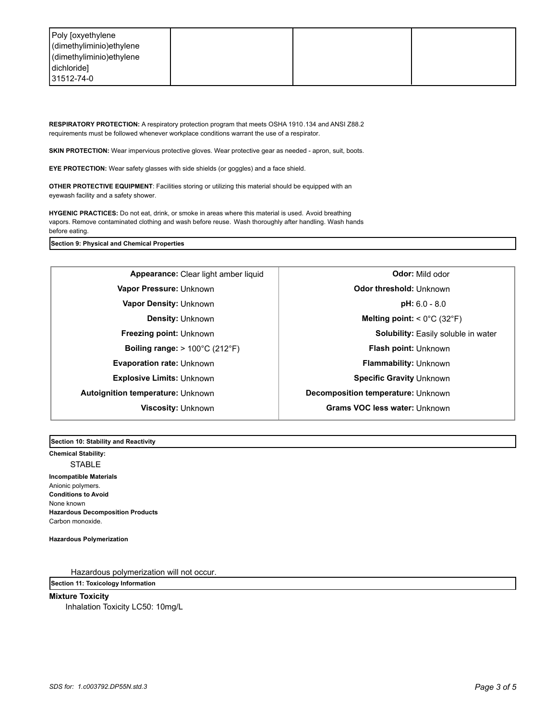| Poly [oxyethylene<br>dimethyliminio) ethylene |  |  |
|-----------------------------------------------|--|--|
| dimethyliminio)ethylene                       |  |  |
| dichloride]                                   |  |  |
| 31512-74-0                                    |  |  |

**RESPIRATORY PROTECTION:** A respiratory protection program that meets OSHA 1910.134 and ANSI Z88.2 requirements must be followed whenever workplace conditions warrant the use of a respirator.

**SKIN PROTECTION:** Wear impervious protective gloves. Wear protective gear as needed - apron, suit, boots.

**EYE PROTECTION:** Wear safety glasses with side shields (or goggles) and a face shield.

**OTHER PROTECTIVE EQUIPMENT**: Facilities storing or utilizing this material should be equipped with an eyewash facility and a safety shower.

**HYGENIC PRACTICES:** Do not eat, drink, or smoke in areas where this material is used. Avoid breathing vapors. Remove contaminated clothing and wash before reuse. Wash thoroughly after handling. Wash hands before eating.

**Section 9: Physical and Chemical Properties**

**Vapor Pressure:** Unknown **CODITY CODE 10 CODE 10 CODE 10 Odor threshold: Unknown Vapor Density:** Unknown **pH:** 6.0 - 8.0 **Boiling range:** > 100°C (212°F) **Flash point:** Unknown **Evaporation rate:** Unknown **Flammability:** Unknown **Explosive Limits:** Unknown **Specific Gravity** Unknown **Specific Gravity** Unknown **Autoignition temperature:** Unknown **Decomposition temperature:** Unknown

**Appearance:** Clear light amber liquid **abula is a clear of Clear Section Odor:** Mild odor **Density:** Unknown **Melting point:** < 0°C (32°F) **Freezing point:** Unknown **Solubility:** Easily soluble in water **Viscosity:** Unknown **Grams VOC less water:** Unknown

**Section 10: Stability and Reactivity** 

**Chemical Stability:** STABLE **Incompatible Materials**  Anionic polymers. **Conditions to Avoid** None known **Hazardous Decomposition Products** Carbon monoxide.

**Hazardous Polymerization**

Hazardous polymerization will not occur.

**Section 11: Toxicology Information**

**Mixture Toxicity**

Inhalation Toxicity LC50: 10mg/L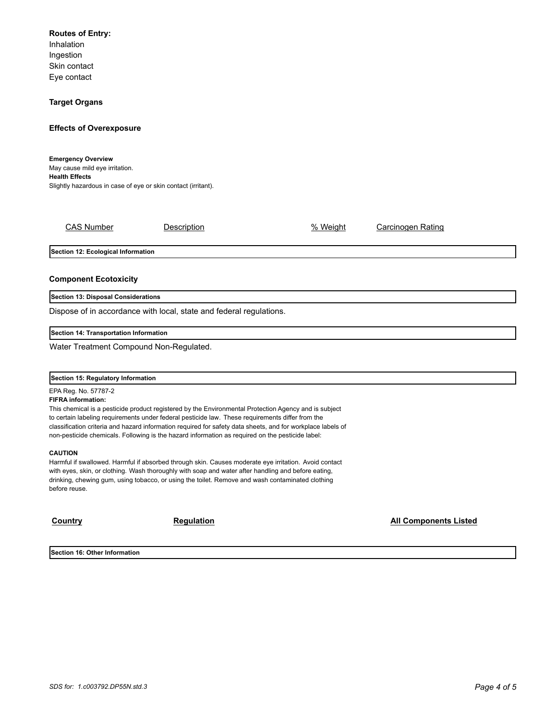## **Routes of Entry:**

Inhalation Ingestion Skin contact Eye contact

## **Target Organs**

## **Effects of Overexposure**

**Emergency Overview** May cause mild eye irritation. **Health Effects** Slightly hazardous in case of eye or skin contact (irritant).

CAS Number **Description Description CAS Number Carcinogen Rating** 

**Section 12: Ecological Information**

## **Component Ecotoxicity**

**Section 13: Disposal Considerations**

Dispose of in accordance with local, state and federal regulations.

**Section 14: Transportation Information**

Water Treatment Compound Non-Regulated.

#### **Section 15: Regulatory Information**

EPA Reg. No. 57787-2

#### **FIFRA information:**

This chemical is a pesticide product registered by the Environmental Protection Agency and is subject to certain labeling requirements under federal pesticide law. These requirements differ from the classification criteria and hazard information required for safety data sheets, and for workplace labels of non-pesticide chemicals. Following is the hazard information as required on the pesticide label:

#### **CAUTION**

Harmful if swallowed. Harmful if absorbed through skin. Causes moderate eye irritation. Avoid contact with eyes, skin, or clothing. Wash thoroughly with soap and water after handling and before eating, drinking, chewing gum, using tobacco, or using the toilet. Remove and wash contaminated clothing before reuse.

**Country Country Regulation Regulation Regulation Regulation Regulation Regulation** 

**Section 16: Other Information**